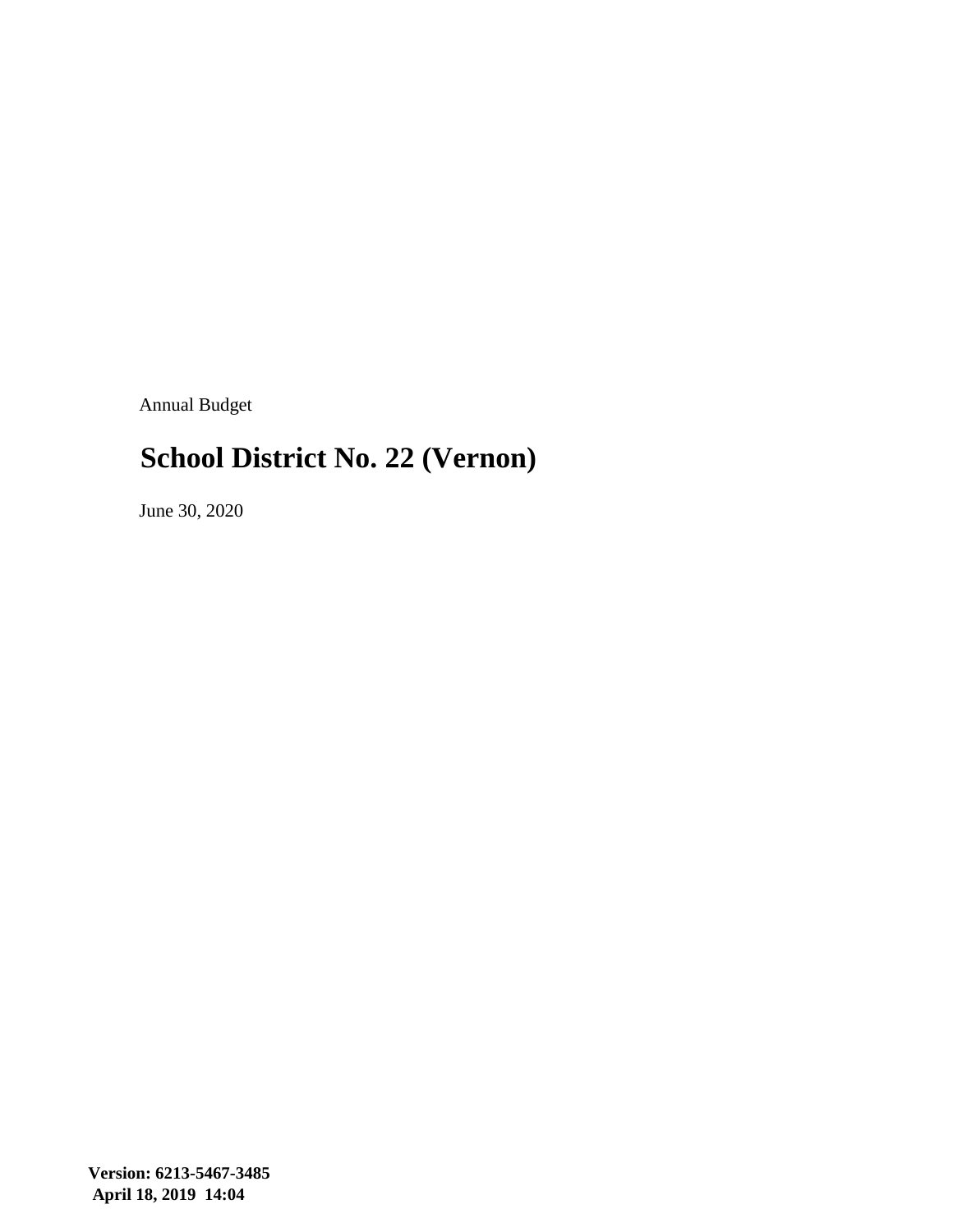Annual Budget

### **School District No. 22 (Vernon)**

June 30, 2020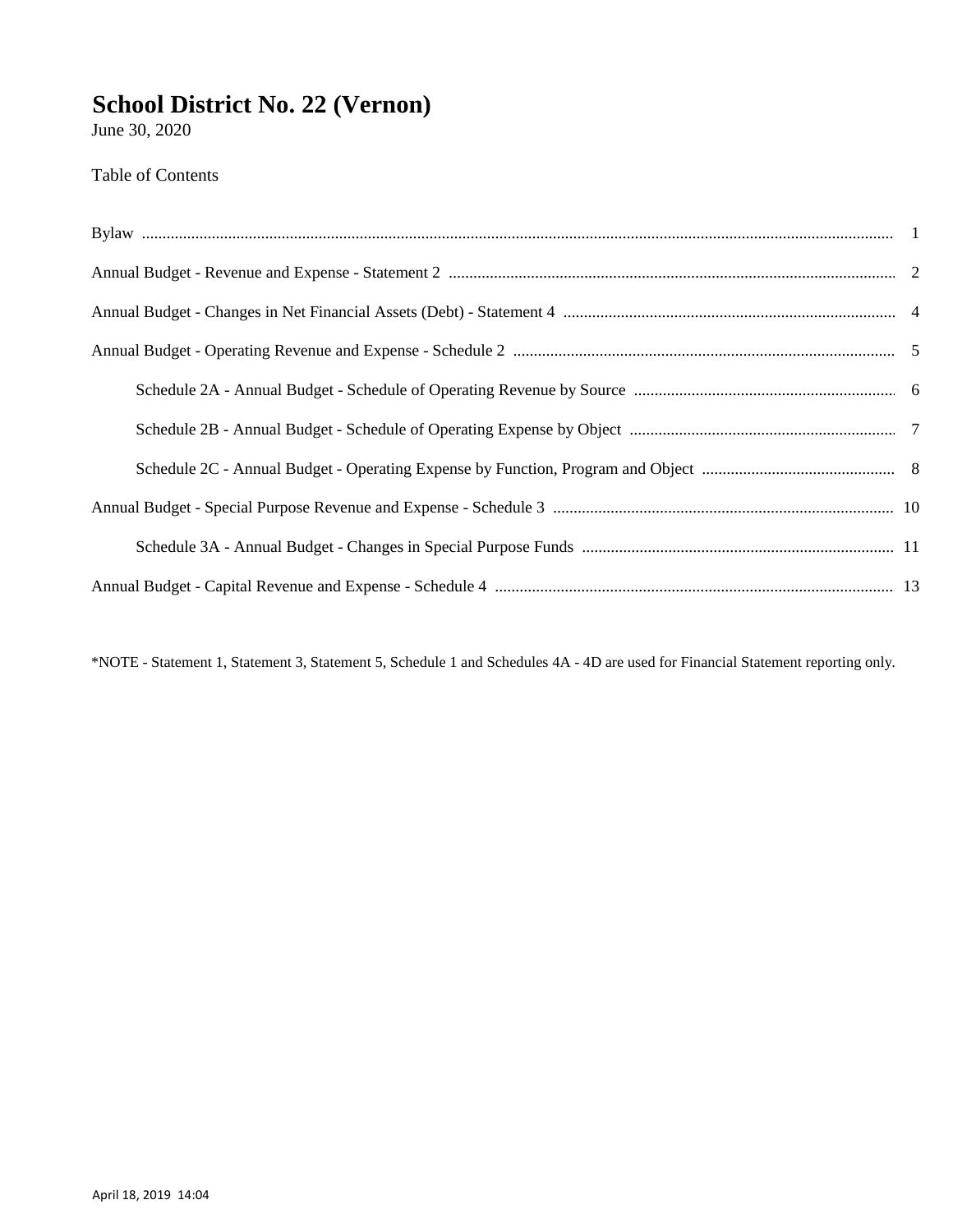June 30, 2020

Table of Contents

\*NOTE - Statement 1, Statement 3, Statement 5, Schedule 1 and Schedules 4A - 4D are used for Financial Statement reporting only.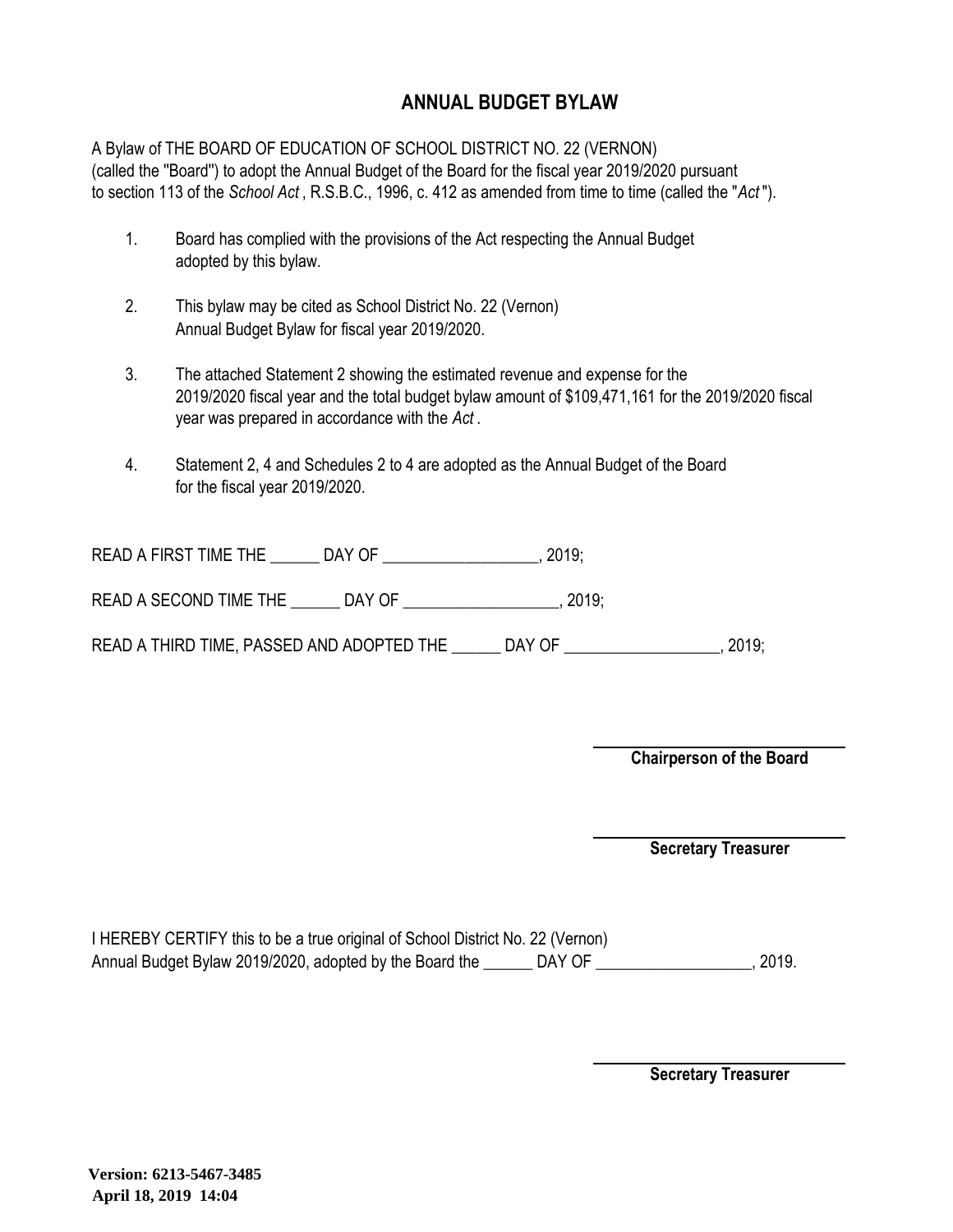### **ANNUAL BUDGET BYLAW**

A Bylaw of THE BOARD OF EDUCATION OF SCHOOL DISTRICT NO. 22 (VERNON) (called the ''Board'') to adopt the Annual Budget of the Board for the fiscal year 2019/2020 pursuant to section 113 of the *School Act* , R.S.B.C., 1996, c. 412 as amended from time to time (called the "*Act* ").

- 1. Board has complied with the provisions of the Act respecting the Annual Budget adopted by this bylaw.
- 2. This bylaw may be cited as School District No. 22 (Vernon) Annual Budget Bylaw for fiscal year 2019/2020.
- 3. The attached Statement 2 showing the estimated revenue and expense for the 2019/2020 fiscal year and the total budget bylaw amount of \$109,471,161 for the 2019/2020 fiscal year was prepared in accordance with the *Act* .
- 4. Statement 2, 4 and Schedules 2 to 4 are adopted as the Annual Budget of the Board for the fiscal year 2019/2020.

| <b>READ A FIRST TIME THE</b> |  |  |
|------------------------------|--|--|
|------------------------------|--|--|

READ A SECOND TIME THE \_\_\_\_\_\_\_ DAY OF \_\_\_\_\_\_\_\_\_\_\_\_\_\_\_\_\_\_\_\_, 2019;

READ A THIRD TIME, PASSED AND ADOPTED THE \_\_\_\_\_\_ DAY OF \_\_\_\_\_\_\_\_\_\_\_\_\_\_\_\_\_, 2019;

**Chairperson of the Board**

**Secretary Treasurer**

I HEREBY CERTIFY this to be a true original of School District No. 22 (Vernon) Annual Budget Bylaw 2019/2020, adopted by the Board the \_\_\_\_\_\_ DAY OF \_\_\_\_\_\_\_\_\_\_\_\_\_\_\_\_\_, 2019.

**Secretary Treasurer**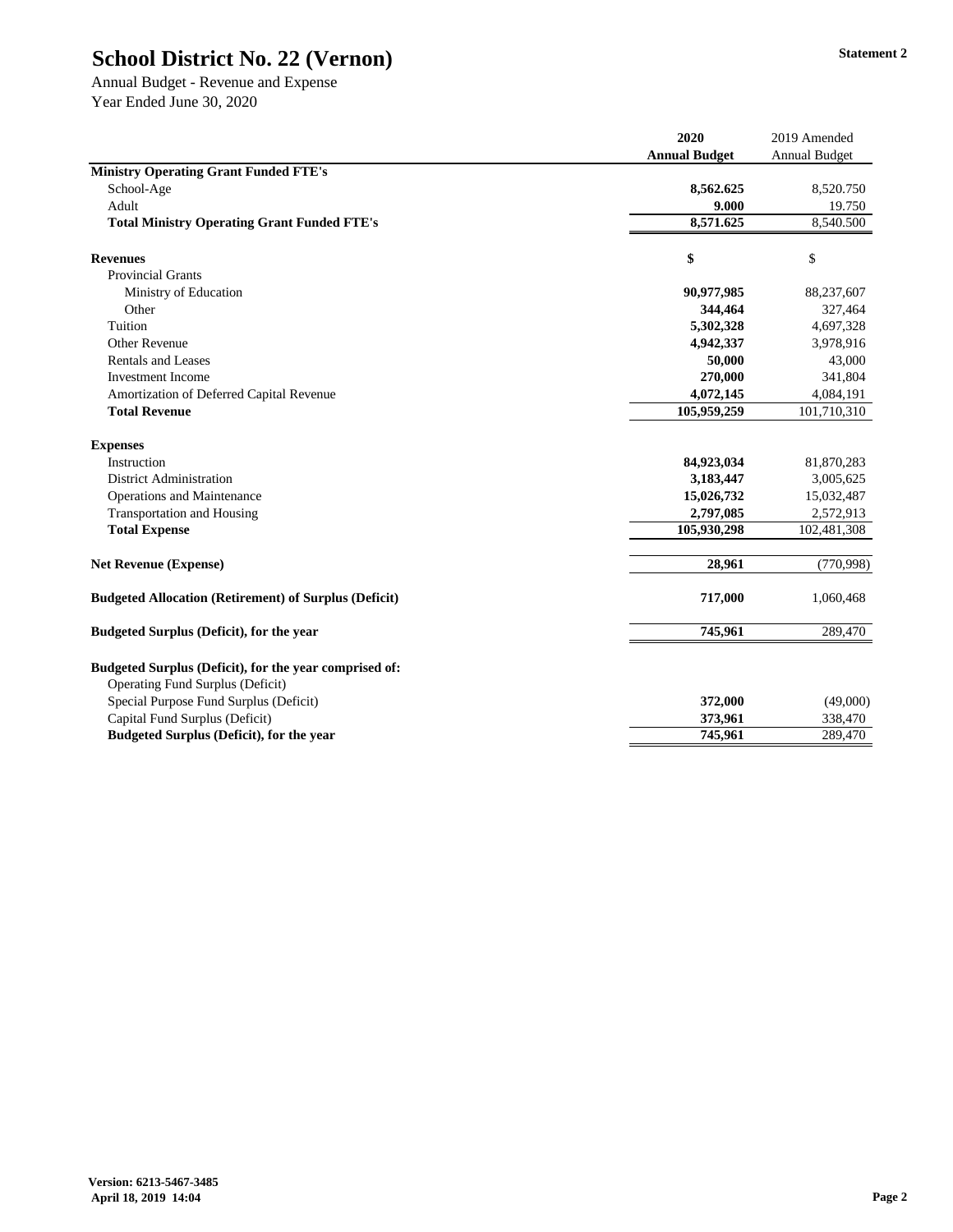Annual Budget - Revenue and Expense Year Ended June 30, 2020

|                                                                                                   | 2020                 | 2019 Amended         |
|---------------------------------------------------------------------------------------------------|----------------------|----------------------|
|                                                                                                   | <b>Annual Budget</b> | <b>Annual Budget</b> |
| <b>Ministry Operating Grant Funded FTE's</b>                                                      |                      |                      |
| School-Age                                                                                        | 8,562.625            | 8,520.750            |
| Adult                                                                                             | 9.000                | 19.750               |
| <b>Total Ministry Operating Grant Funded FTE's</b>                                                | 8,571.625            | 8,540.500            |
| <b>Revenues</b>                                                                                   | \$                   | \$                   |
| <b>Provincial Grants</b>                                                                          |                      |                      |
| Ministry of Education                                                                             | 90,977,985           | 88,237,607           |
| Other                                                                                             | 344,464              | 327,464              |
| Tuition                                                                                           | 5,302,328            | 4,697,328            |
| <b>Other Revenue</b>                                                                              | 4,942,337            | 3,978,916            |
| <b>Rentals and Leases</b>                                                                         | 50,000               | 43,000               |
| <b>Investment Income</b>                                                                          | 270,000              | 341,804              |
| Amortization of Deferred Capital Revenue                                                          | 4,072,145            | 4,084,191            |
| <b>Total Revenue</b>                                                                              | 105,959,259          | 101,710,310          |
| <b>Expenses</b>                                                                                   |                      |                      |
| Instruction                                                                                       | 84,923,034           | 81,870,283           |
| <b>District Administration</b>                                                                    | 3,183,447            | 3,005,625            |
| <b>Operations and Maintenance</b>                                                                 | 15,026,732           | 15,032,487           |
| <b>Transportation and Housing</b>                                                                 | 2,797,085            | 2,572,913            |
| <b>Total Expense</b>                                                                              | 105,930,298          | 102,481,308          |
| <b>Net Revenue (Expense)</b>                                                                      | 28,961               | (770, 998)           |
| <b>Budgeted Allocation (Retirement) of Surplus (Deficit)</b>                                      | 717,000              | 1,060,468            |
| <b>Budgeted Surplus (Deficit), for the year</b>                                                   | 745,961              | 289,470              |
| Budgeted Surplus (Deficit), for the year comprised of:<br><b>Operating Fund Surplus (Deficit)</b> |                      |                      |
| Special Purpose Fund Surplus (Deficit)                                                            | 372,000              | (49,000)             |
| Capital Fund Surplus (Deficit)                                                                    | 373,961              | 338,470              |
| <b>Budgeted Surplus (Deficit), for the year</b>                                                   | 745,961              | 289,470              |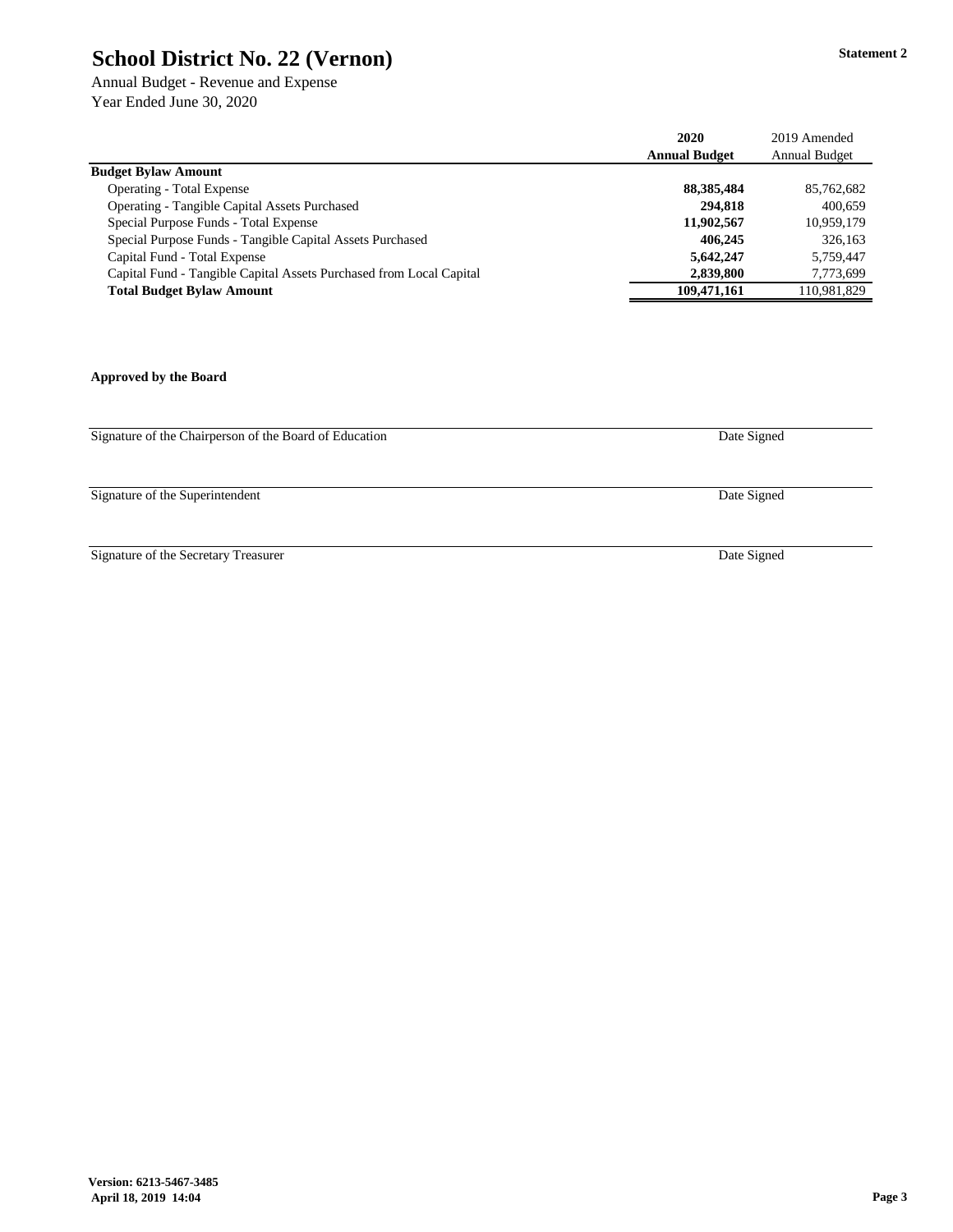Annual Budget - Revenue and Expense Year Ended June 30, 2020

|                                                                     | 2020                 | 2019 Amended         |
|---------------------------------------------------------------------|----------------------|----------------------|
|                                                                     | <b>Annual Budget</b> | <b>Annual Budget</b> |
| <b>Budget Bylaw Amount</b>                                          |                      |                      |
| <b>Operating - Total Expense</b>                                    | 88, 385, 484         | 85,762,682           |
| <b>Operating - Tangible Capital Assets Purchased</b>                | 294,818              | 400,659              |
| Special Purpose Funds - Total Expense                               | 11,902,567           | 10,959,179           |
| Special Purpose Funds - Tangible Capital Assets Purchased           | 406,245              | 326,163              |
| Capital Fund - Total Expense                                        | 5,642,247            | 5,759,447            |
| Capital Fund - Tangible Capital Assets Purchased from Local Capital | 2,839,800            | 7,773,699            |
| <b>Total Budget Bylaw Amount</b>                                    | 109,471,161          | 110,981,829          |

**Approved by the Board**

Signature of the Chairperson of the Board of Education

Signature of the Superintendent

Signature of the Secretary Treasurer

Date Signed

Date Signed

Date Signed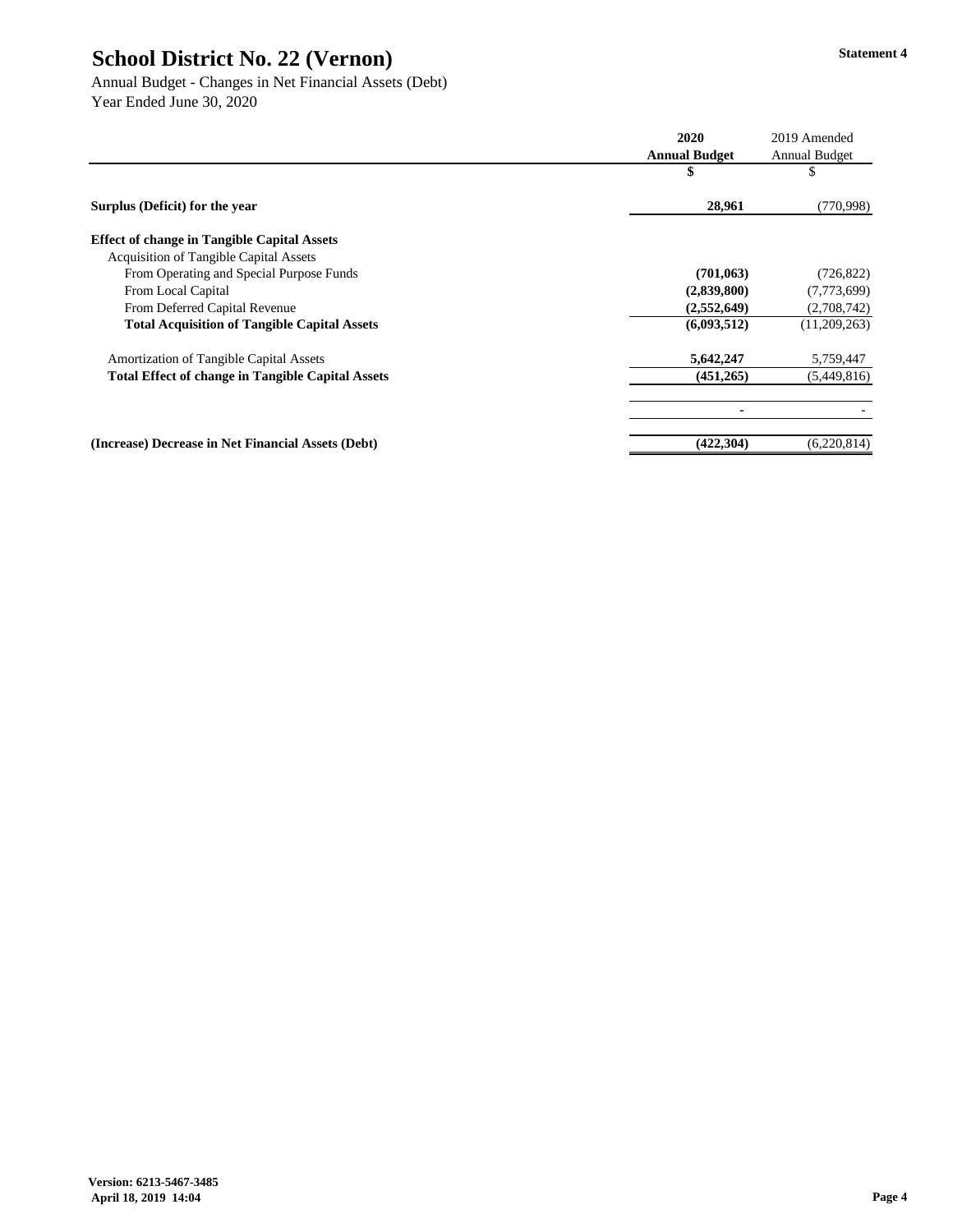Annual Budget - Changes in Net Financial Assets (Debt) Year Ended June 30, 2020

|                                                          | 2020                 | 2019 Amended         |
|----------------------------------------------------------|----------------------|----------------------|
|                                                          | <b>Annual Budget</b> | <b>Annual Budget</b> |
|                                                          | \$                   | P                    |
| Surplus (Deficit) for the year                           | 28,961               | (770, 998)           |
| <b>Effect of change in Tangible Capital Assets</b>       |                      |                      |
| <b>Acquisition of Tangible Capital Assets</b>            |                      |                      |
| From Operating and Special Purpose Funds                 | (701, 063)           | (726, 822)           |
| From Local Capital                                       | (2,839,800)          | (7,773,699)          |
| From Deferred Capital Revenue                            | (2,552,649)          | (2,708,742)          |
| <b>Total Acquisition of Tangible Capital Assets</b>      | (6,093,512)          | (11,209,263)         |
| <b>Amortization of Tangible Capital Assets</b>           | 5,642,247            | 5,759,447            |
| <b>Total Effect of change in Tangible Capital Assets</b> | (451,265)            | (5,449,816)          |
|                                                          |                      |                      |
| (Increase) Decrease in Net Financial Assets (Debt)       | (422, 304)           | (6,220,814)          |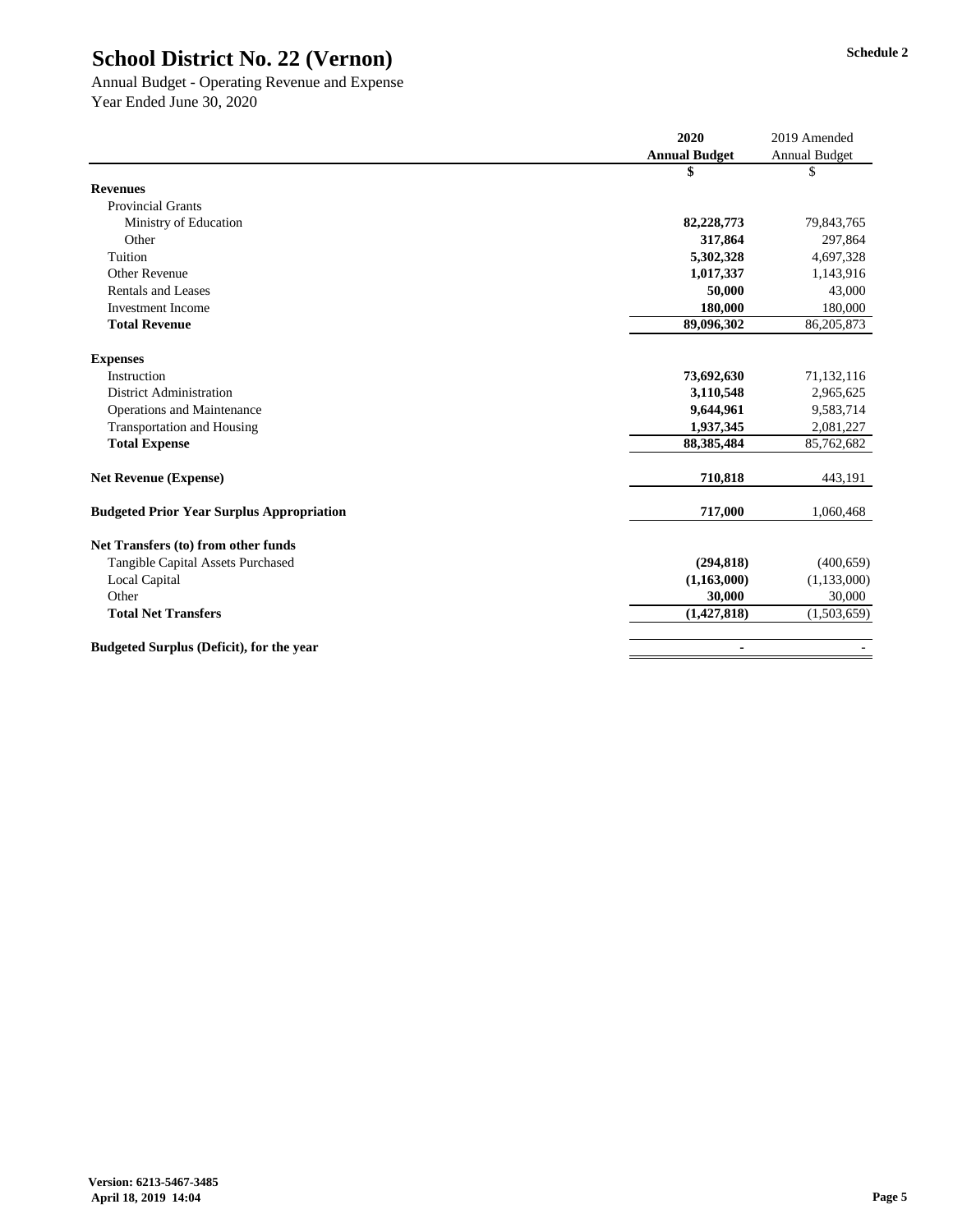### Annual Budget - Operating Revenue and Expense Year Ended June 30, 2020

|                                                  | 2020                 | 2019 Amended         |
|--------------------------------------------------|----------------------|----------------------|
|                                                  | <b>Annual Budget</b> | <b>Annual Budget</b> |
|                                                  | \$                   | \$                   |
| <b>Revenues</b>                                  |                      |                      |
| <b>Provincial Grants</b>                         |                      |                      |
| Ministry of Education                            | 82,228,773           | 79,843,765           |
| Other                                            | 317,864              | 297,864              |
| Tuition                                          | 5,302,328            | 4,697,328            |
| <b>Other Revenue</b>                             | 1,017,337            | 1,143,916            |
| <b>Rentals and Leases</b>                        | 50,000               | 43,000               |
| <b>Investment Income</b>                         | 180,000              | 180,000              |
| <b>Total Revenue</b>                             | 89,096,302           | 86,205,873           |
| <b>Expenses</b>                                  |                      |                      |
| Instruction                                      | 73,692,630           | 71,132,116           |
| <b>District Administration</b>                   | 3,110,548            | 2,965,625            |
| <b>Operations and Maintenance</b>                | 9,644,961            | 9,583,714            |
| <b>Transportation and Housing</b>                | 1,937,345            | 2,081,227            |
| <b>Total Expense</b>                             | 88,385,484           | 85,762,682           |
| <b>Net Revenue (Expense)</b>                     | 710,818              | 443,191              |
| <b>Budgeted Prior Year Surplus Appropriation</b> | 717,000              | 1,060,468            |
| Net Transfers (to) from other funds              |                      |                      |
| <b>Tangible Capital Assets Purchased</b>         | (294, 818)           | (400, 659)           |
| Local Capital                                    | (1,163,000)          | (1, 133, 000)        |
| Other                                            | 30,000               | 30,000               |
| <b>Total Net Transfers</b>                       | (1,427,818)          | (1,503,659)          |
| <b>Budgeted Surplus (Deficit), for the year</b>  |                      |                      |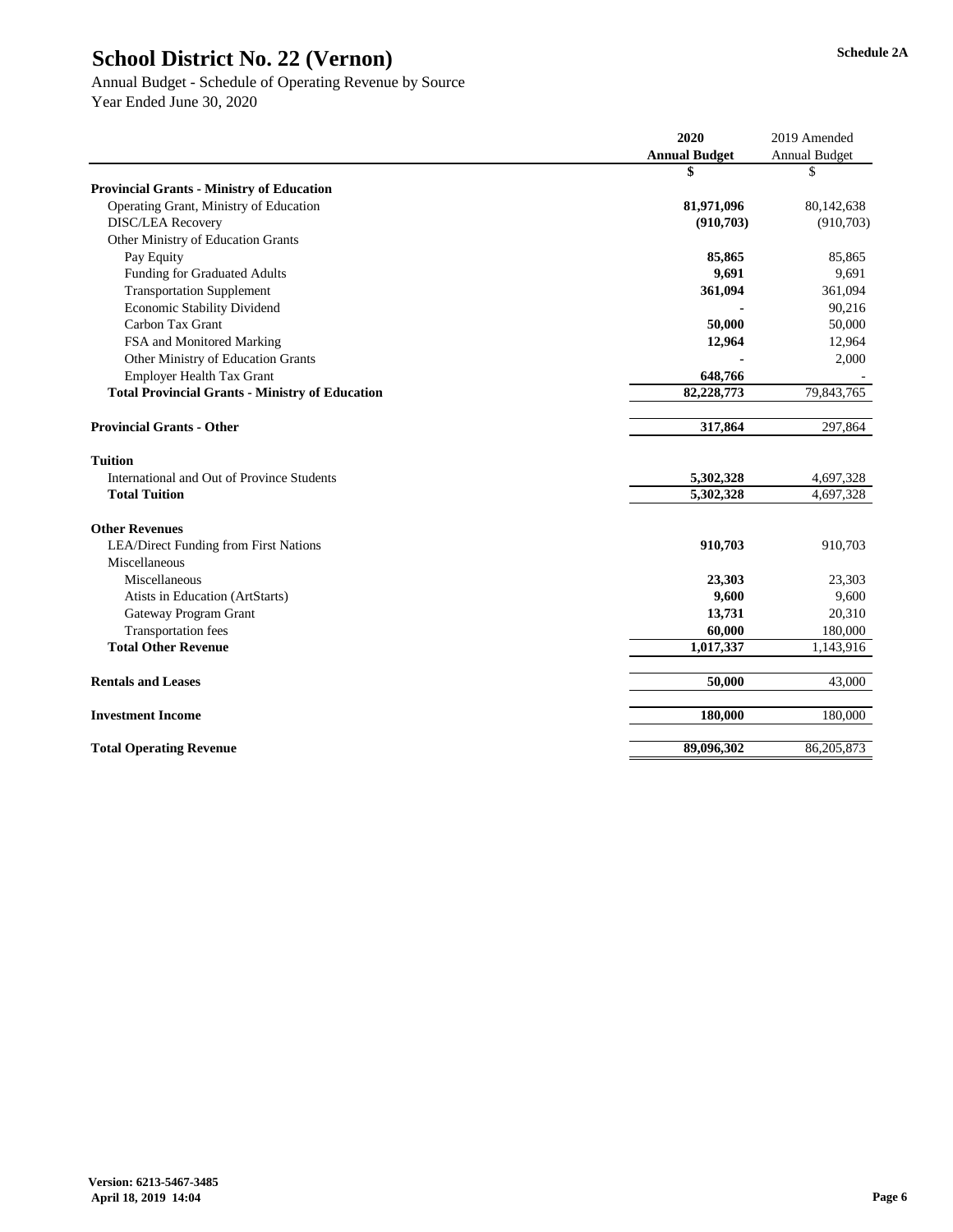# Annual Budget - Schedule of Operating Revenue by Source

|                                                        | 2020                 | 2019 Amended         |
|--------------------------------------------------------|----------------------|----------------------|
|                                                        | <b>Annual Budget</b> | <b>Annual Budget</b> |
|                                                        | \$                   | \$                   |
| <b>Provincial Grants - Ministry of Education</b>       |                      |                      |
| Operating Grant, Ministry of Education                 | 81,971,096           | 80,142,638           |
| <b>DISC/LEA Recovery</b>                               | (910, 703)           | (910, 703)           |
| Other Ministry of Education Grants                     |                      |                      |
| Pay Equity                                             | 85,865               | 85,865               |
| <b>Funding for Graduated Adults</b>                    | 9,691                | 9,691                |
| <b>Transportation Supplement</b>                       | 361,094              | 361,094              |
| <b>Economic Stability Dividend</b>                     |                      | 90,216               |
| Carbon Tax Grant                                       | 50,000               | 50,000               |
| FSA and Monitored Marking                              | 12,964               | 12,964               |
| <b>Other Ministry of Education Grants</b>              |                      | 2,000                |
| <b>Employer Health Tax Grant</b>                       | 648,766              |                      |
| <b>Total Provincial Grants - Ministry of Education</b> | 82,228,773           | 79,843,765           |
|                                                        |                      |                      |
| <b>Provincial Grants - Other</b>                       | 317,864              | 297,864              |
| <b>Tuition</b>                                         |                      |                      |
| International and Out of Province Students             | 5,302,328            | 4,697,328            |
| <b>Total Tuition</b>                                   | 5,302,328            | 4,697,328            |
| <b>Other Revenues</b>                                  |                      |                      |
| <b>LEA/Direct Funding from First Nations</b>           | 910,703              | 910,703              |
| Miscellaneous                                          |                      |                      |
| Miscellaneous                                          | 23,303               | 23,303               |
| Atists in Education (ArtStarts)                        | 9,600                | 9,600                |
| <b>Gateway Program Grant</b>                           | 13,731               | 20,310               |
| <b>Transportation fees</b>                             | 60,000               | 180,000              |
| <b>Total Other Revenue</b>                             | 1,017,337            | 1,143,916            |
|                                                        |                      |                      |
| <b>Rentals and Leases</b>                              | 50,000               | 43,000               |
| <b>Investment Income</b>                               | 180,000              | 180,000              |
| <b>Total Operating Revenue</b>                         | 89,096,302           | 86,205,873           |
|                                                        |                      |                      |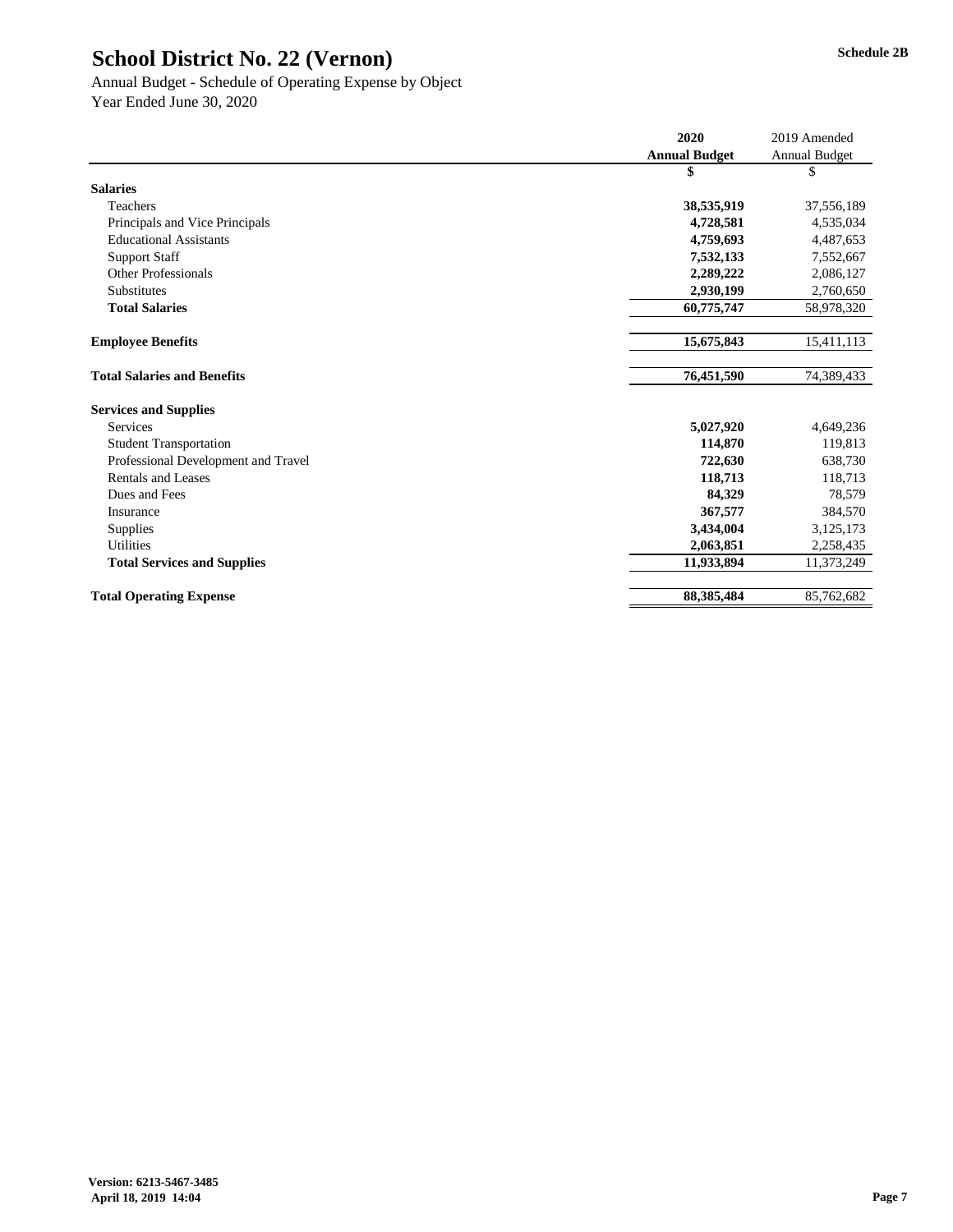### Annual Budget - Schedule of Operating Expense by Object Year Ended June 30, 2020

|                                     | 2020                 | 2019 Amended         |
|-------------------------------------|----------------------|----------------------|
|                                     | <b>Annual Budget</b> | <b>Annual Budget</b> |
|                                     | \$                   | \$                   |
| <b>Salaries</b>                     |                      |                      |
| Teachers                            | 38,535,919           | 37,556,189           |
| Principals and Vice Principals      | 4,728,581            | 4,535,034            |
| <b>Educational Assistants</b>       | 4,759,693            | 4,487,653            |
| <b>Support Staff</b>                | 7,532,133            | 7,552,667            |
| <b>Other Professionals</b>          | 2,289,222            | 2,086,127            |
| Substitutes                         | 2,930,199            | 2,760,650            |
| <b>Total Salaries</b>               | 60,775,747           | 58,978,320           |
|                                     |                      |                      |
| <b>Employee Benefits</b>            | 15,675,843           | 15,411,113           |
|                                     |                      |                      |
| <b>Total Salaries and Benefits</b>  | 76,451,590           | 74,389,433           |
| <b>Services and Supplies</b>        |                      |                      |
| <b>Services</b>                     | 5,027,920            | 4,649,236            |
| <b>Student Transportation</b>       | 114,870              | 119,813              |
| Professional Development and Travel | 722,630              | 638,730              |
| <b>Rentals and Leases</b>           | 118,713              | 118,713              |
| Dues and Fees                       | 84,329               | 78,579               |
| Insurance                           | 367,577              | 384,570              |
| Supplies                            | 3,434,004            | 3,125,173            |
| <b>Utilities</b>                    | 2,063,851            | 2,258,435            |
| <b>Total Services and Supplies</b>  | 11,933,894           | 11,373,249           |
| <b>Total Operating Expense</b>      | 88,385,484           | 85,762,682           |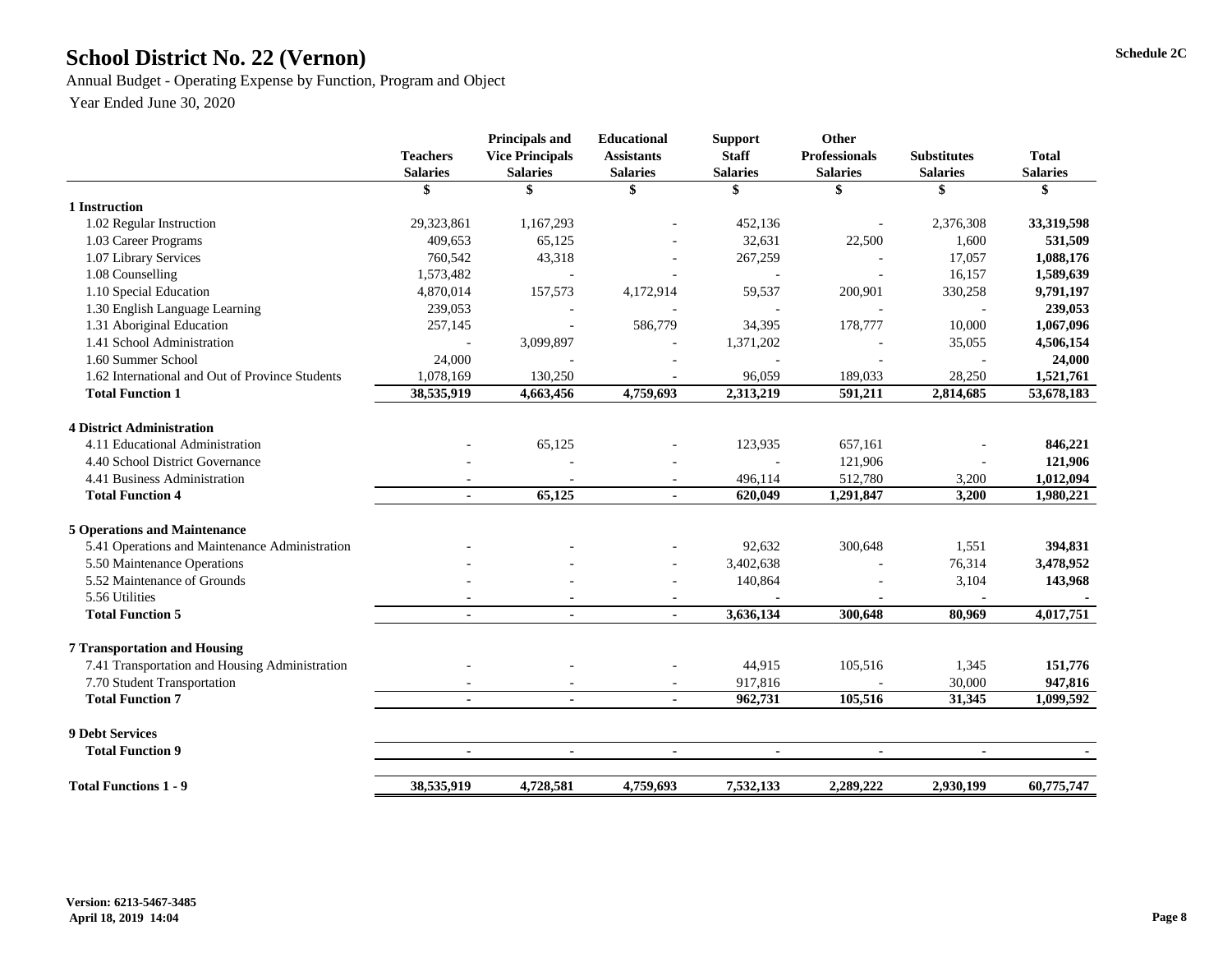# School District No. 22 (Vernon) Schedule 2C

Annual Budget - Operating Expense by Function, Program and Object

|                                                 | <b>Teachers</b><br><b>Salaries</b> | <b>Principals and</b><br><b>Vice Principals</b><br><b>Salaries</b> | <b>Educational</b><br><b>Assistants</b><br><b>Salaries</b> | <b>Support</b><br><b>Staff</b><br><b>Salaries</b> | <b>Other</b><br><b>Professionals</b><br><b>Salaries</b> | <b>Substitutes</b><br><b>Salaries</b> | <b>Total</b><br><b>Salaries</b> |
|-------------------------------------------------|------------------------------------|--------------------------------------------------------------------|------------------------------------------------------------|---------------------------------------------------|---------------------------------------------------------|---------------------------------------|---------------------------------|
|                                                 | \$                                 | \$                                                                 | \$                                                         | \$                                                | \$                                                      | \$                                    | \$                              |
| 1 Instruction                                   |                                    |                                                                    |                                                            |                                                   |                                                         |                                       |                                 |
| 1.02 Regular Instruction                        | 29,323,861                         | 1,167,293                                                          |                                                            | 452,136                                           |                                                         | 2,376,308                             | 33,319,598                      |
| 1.03 Career Programs                            | 409,653                            | 65,125                                                             |                                                            | 32,631                                            | 22,500                                                  | 1,600                                 | 531,509                         |
| 1.07 Library Services                           | 760,542                            | 43,318                                                             |                                                            | 267,259                                           |                                                         | 17,057                                | 1,088,176                       |
| 1.08 Counselling                                | 1,573,482                          |                                                                    |                                                            |                                                   |                                                         | 16,157                                | 1,589,639                       |
| 1.10 Special Education                          | 4,870,014                          | 157,573                                                            | 4,172,914                                                  | 59,537                                            | 200,901                                                 | 330,258                               | 9,791,197                       |
| 1.30 English Language Learning                  | 239,053                            |                                                                    |                                                            |                                                   |                                                         |                                       | 239,053                         |
| 1.31 Aboriginal Education                       | 257,145                            |                                                                    | 586,779                                                    | 34,395                                            | 178,777                                                 | 10,000                                | 1,067,096                       |
| 1.41 School Administration                      |                                    | 3,099,897                                                          |                                                            | 1,371,202                                         |                                                         | 35,055                                | 4,506,154                       |
| 1.60 Summer School                              | 24,000                             |                                                                    |                                                            |                                                   |                                                         |                                       | 24,000                          |
| 1.62 International and Out of Province Students | 1,078,169                          | 130,250                                                            |                                                            | 96,059                                            | 189,033                                                 | 28,250                                | 1,521,761                       |
| <b>Total Function 1</b>                         | 38,535,919                         | 4,663,456                                                          | 4,759,693                                                  | 2,313,219                                         | 591,211                                                 | 2,814,685                             | 53,678,183                      |
| <b>4 District Administration</b>                |                                    |                                                                    |                                                            |                                                   |                                                         |                                       |                                 |
| 4.11 Educational Administration                 |                                    | 65,125                                                             |                                                            | 123,935                                           | 657,161                                                 |                                       | 846,221                         |
| 4.40 School District Governance                 |                                    |                                                                    |                                                            |                                                   | 121,906                                                 |                                       | 121,906                         |
| 4.41 Business Administration                    |                                    |                                                                    | $\overline{\phantom{a}}$                                   | 496,114                                           | 512,780                                                 | 3,200                                 | 1,012,094                       |
| <b>Total Function 4</b>                         |                                    | 65,125                                                             | $\blacksquare$                                             | 620,049                                           | 1,291,847                                               | 3,200                                 | 1,980,221                       |
| <b>5 Operations and Maintenance</b>             |                                    |                                                                    |                                                            |                                                   |                                                         |                                       |                                 |
| 5.41 Operations and Maintenance Administration  |                                    |                                                                    |                                                            | 92,632                                            | 300,648                                                 | 1,551                                 | 394,831                         |
| 5.50 Maintenance Operations                     |                                    |                                                                    | $\overline{\phantom{a}}$                                   | 3,402,638                                         |                                                         | 76,314                                | 3,478,952                       |
| 5.52 Maintenance of Grounds                     |                                    |                                                                    | $\overline{\phantom{a}}$                                   | 140,864                                           |                                                         | 3,104                                 | 143,968                         |
| 5.56 Utilities                                  |                                    |                                                                    |                                                            |                                                   |                                                         |                                       |                                 |
| <b>Total Function 5</b>                         | Ξ.                                 | $\blacksquare$                                                     | $\blacksquare$                                             | 3,636,134                                         | 300,648                                                 | 80,969                                | 4,017,751                       |
| <b>7 Transportation and Housing</b>             |                                    |                                                                    |                                                            |                                                   |                                                         |                                       |                                 |
| 7.41 Transportation and Housing Administration  |                                    |                                                                    |                                                            | 44,915                                            | 105,516                                                 | 1,345                                 | 151,776                         |
| 7.70 Student Transportation                     |                                    |                                                                    | $\overline{\phantom{a}}$                                   | 917,816                                           |                                                         | 30,000                                | 947,816                         |
| <b>Total Function 7</b>                         | $\blacksquare$                     | $\blacksquare$                                                     | $\blacksquare$                                             | 962,731                                           | 105,516                                                 | 31,345                                | 1,099,592                       |
|                                                 |                                    |                                                                    |                                                            |                                                   |                                                         |                                       |                                 |
| <b>9 Debt Services</b>                          |                                    |                                                                    |                                                            |                                                   |                                                         |                                       |                                 |
| <b>Total Function 9</b>                         |                                    | $\blacksquare$                                                     |                                                            |                                                   |                                                         |                                       |                                 |
| <b>Total Functions 1 - 9</b>                    | 38,535,919                         | 4,728,581                                                          | 4,759,693                                                  | 7,532,133                                         | 2,289,222                                               | 2,930,199                             | 60,775,747                      |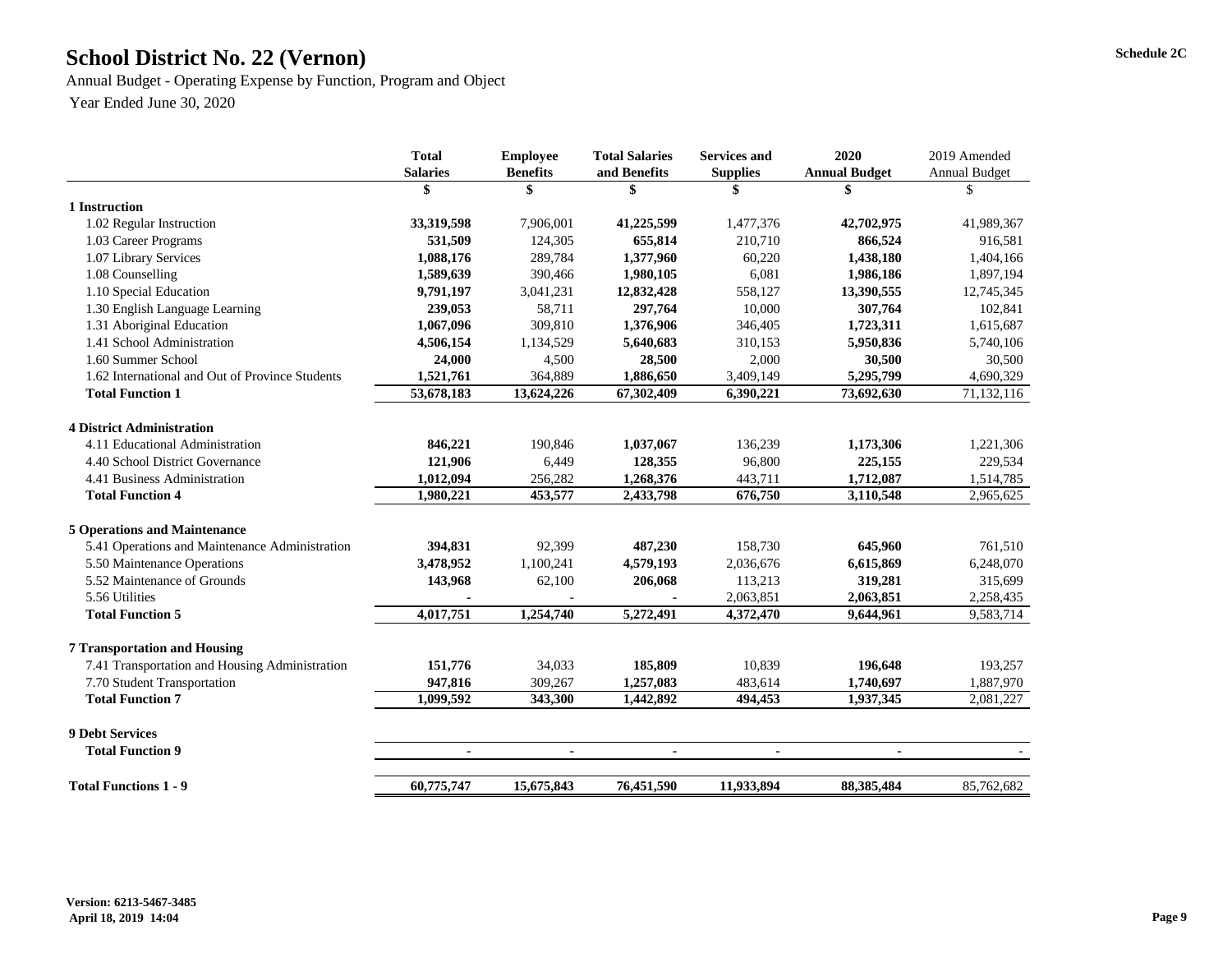# School District No. 22 (Vernon) Schedule 2C

Annual Budget - Operating Expense by Function, Program and Object

|                                                 | <b>Total</b>    | <b>Employee</b> |                | <b>Services and</b> | 2020                 | 2019 Amended         |  |
|-------------------------------------------------|-----------------|-----------------|----------------|---------------------|----------------------|----------------------|--|
|                                                 | <b>Salaries</b> | <b>Benefits</b> | and Benefits   | <b>Supplies</b>     | <b>Annual Budget</b> | <b>Annual Budget</b> |  |
|                                                 | \$              |                 |                |                     | \$                   | \$                   |  |
| 1 Instruction                                   |                 |                 |                |                     |                      |                      |  |
| 1.02 Regular Instruction                        | 33,319,598      | 7,906,001       | 41,225,599     | 1,477,376           | 42,702,975           | 41,989,367           |  |
| 1.03 Career Programs                            | 531,509         | 124,305         | 655,814        | 210,710             | 866,524              | 916,581              |  |
| 1.07 Library Services                           | 1,088,176       | 289,784         | 1,377,960      | 60,220              | 1,438,180            | 1,404,166            |  |
| 1.08 Counselling                                | 1,589,639       | 390,466         | 1,980,105      | 6,081               | 1,986,186            | 1,897,194            |  |
| 1.10 Special Education                          | 9,791,197       | 3,041,231       | 12,832,428     | 558,127             | 13,390,555           | 12,745,345           |  |
| 1.30 English Language Learning                  | 239,053         | 58,711          | 297,764        | 10,000              | 307,764              | 102,841              |  |
| 1.31 Aboriginal Education                       | 1,067,096       | 309,810         | 1,376,906      | 346,405             | 1,723,311            | 1,615,687            |  |
| 1.41 School Administration                      | 4,506,154       | 1,134,529       | 5,640,683      | 310,153             | 5,950,836            | 5,740,106            |  |
| 1.60 Summer School                              | 24,000          | 4,500           | 28,500         | 2,000               | 30,500               | 30,500               |  |
| 1.62 International and Out of Province Students | 1,521,761       | 364,889         | 1,886,650      | 3,409,149           | 5,295,799            | 4,690,329            |  |
| <b>Total Function 1</b>                         | 53,678,183      | 13,624,226      | 67,302,409     | 6,390,221           | 73,692,630           | 71,132,116           |  |
| <b>4 District Administration</b>                |                 |                 |                |                     |                      |                      |  |
| 4.11 Educational Administration                 | 846,221         | 190,846         | 1,037,067      | 136,239             | 1,173,306            | 1,221,306            |  |
| 4.40 School District Governance                 | 121,906         | 6,449           | 128,355        | 96,800              | 225,155              | 229,534              |  |
| 4.41 Business Administration                    | 1,012,094       | 256,282         | 1,268,376      | 443,711             | 1,712,087            | 1,514,785            |  |
| <b>Total Function 4</b>                         | 1,980,221       | 453,577         | 2,433,798      | 676,750             | 3,110,548            | 2,965,625            |  |
| <b>5 Operations and Maintenance</b>             |                 |                 |                |                     |                      |                      |  |
| 5.41 Operations and Maintenance Administration  | 394,831         | 92,399          | 487,230        | 158,730             | 645,960              | 761,510              |  |
| 5.50 Maintenance Operations                     | 3,478,952       | 1,100,241       | 4,579,193      | 2,036,676           | 6,615,869            | 6,248,070            |  |
| 5.52 Maintenance of Grounds                     | 143,968         | 62,100          | 206,068        | 113,213             | 319,281              | 315,699              |  |
| 5.56 Utilities                                  |                 |                 |                | 2,063,851           | 2,063,851            | 2,258,435            |  |
| <b>Total Function 5</b>                         | 4,017,751       | 1,254,740       | 5,272,491      | 4,372,470           | 9,644,961            | 9,583,714            |  |
| <b>7 Transportation and Housing</b>             |                 |                 |                |                     |                      |                      |  |
| 7.41 Transportation and Housing Administration  | 151,776         | 34,033          | 185,809        | 10,839              | 196,648              | 193,257              |  |
| 7.70 Student Transportation                     | 947,816         | 309,267         | 1,257,083      | 483,614             | 1,740,697            | 1,887,970            |  |
| <b>Total Function 7</b>                         | 1,099,592       | 343,300         | 1,442,892      | 494,453             | 1,937,345            | 2,081,227            |  |
| <b>9 Debt Services</b>                          |                 |                 |                |                     |                      |                      |  |
| <b>Total Function 9</b>                         | $\blacksquare$  | $\blacksquare$  | $\blacksquare$ | $\blacksquare$      | $\blacksquare$       |                      |  |
| <b>Total Functions 1 - 9</b>                    | 60,775,747      | 15,675,843      | 76,451,590     | 11,933,894          | 88, 385, 484         | 85,762,682           |  |
|                                                 |                 |                 |                |                     |                      |                      |  |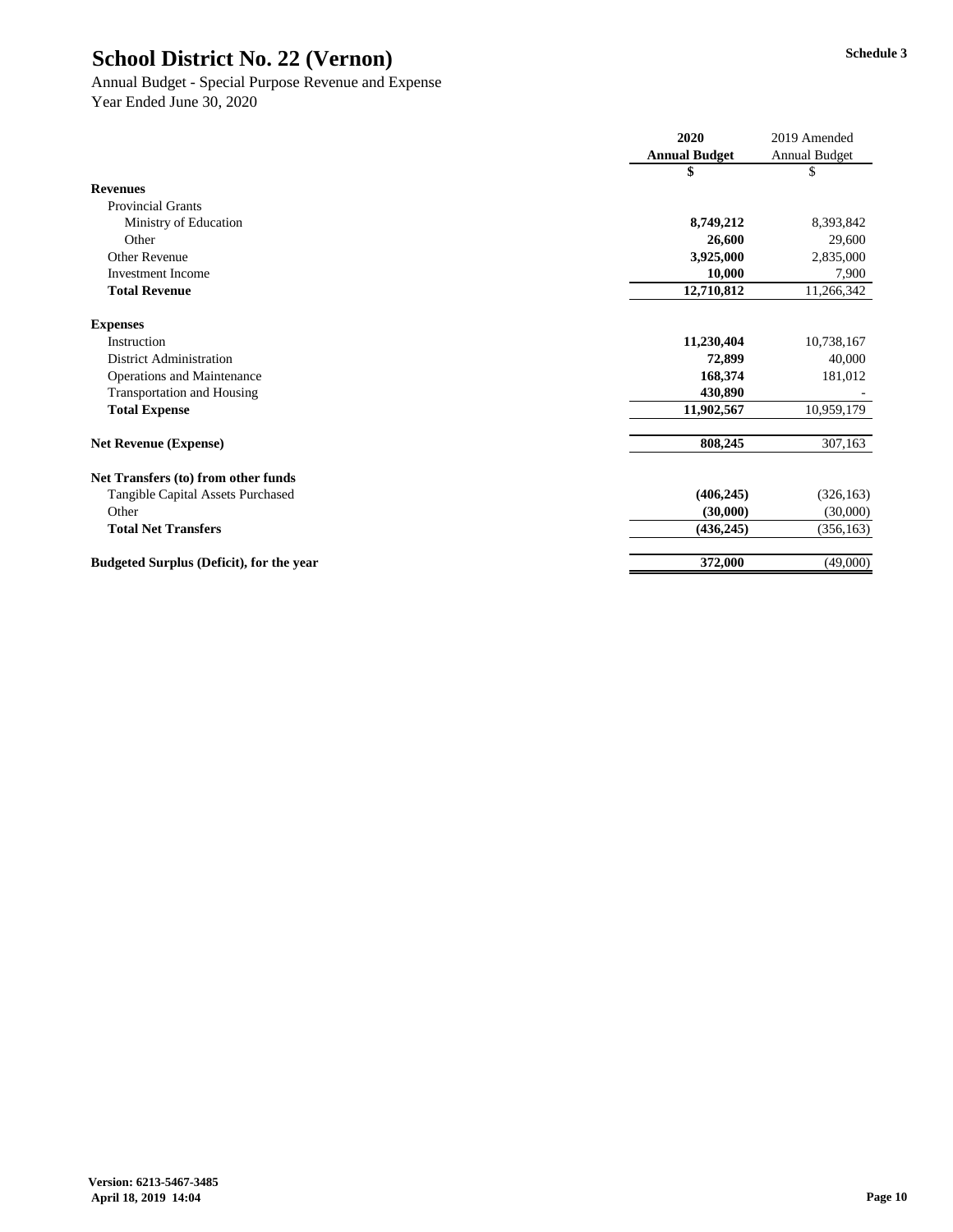## Annual Budget - Special Purpose Revenue and Expense

|                                                 | 2020                 | 2019 Amended         |
|-------------------------------------------------|----------------------|----------------------|
|                                                 | <b>Annual Budget</b> | <b>Annual Budget</b> |
|                                                 | \$                   | \$                   |
| <b>Revenues</b>                                 |                      |                      |
| <b>Provincial Grants</b>                        |                      |                      |
| Ministry of Education                           | 8,749,212            | 8,393,842            |
| Other                                           | 26,600               | 29,600               |
| <b>Other Revenue</b>                            | 3,925,000            | 2,835,000            |
| <b>Investment Income</b>                        | 10,000               | 7,900                |
| <b>Total Revenue</b>                            | 12,710,812           | 11,266,342           |
| <b>Expenses</b>                                 |                      |                      |
| Instruction                                     | 11,230,404           | 10,738,167           |
| <b>District Administration</b>                  | 72,899               | 40,000               |
| <b>Operations and Maintenance</b>               | 168,374              | 181,012              |
| <b>Transportation and Housing</b>               | 430,890              |                      |
| <b>Total Expense</b>                            | 11,902,567           | 10,959,179           |
| <b>Net Revenue (Expense)</b>                    | 808,245              | 307,163              |
| Net Transfers (to) from other funds             |                      |                      |
| <b>Tangible Capital Assets Purchased</b>        | (406, 245)           | (326, 163)           |
| Other                                           | (30,000)             | (30,000)             |
| <b>Total Net Transfers</b>                      | (436, 245)           | (356, 163)           |
| <b>Budgeted Surplus (Deficit), for the year</b> | 372,000              | (49,000)             |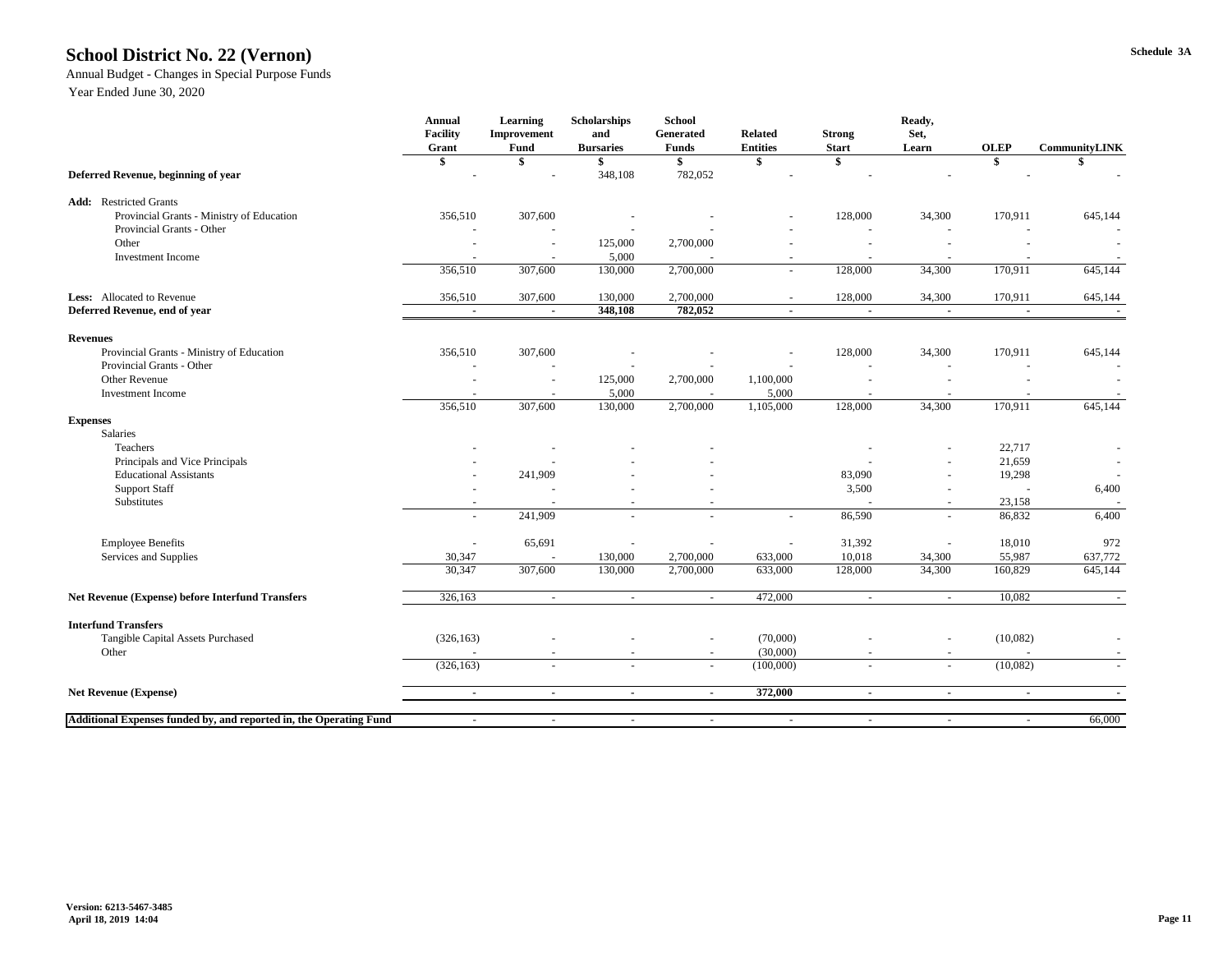### **Schedule 3A School District No. 22 (Vernon)**

### Annual Budget - Changes in Special Purpose Funds

|                                                                    | <b>Annual</b><br><b>Facility</b><br>Grant | <b>Learning</b><br><b>Improvement</b><br><b>Fund</b> | <b>Scholarships</b><br>and<br><b>Bursaries</b> | <b>School</b><br>Generated<br><b>Funds</b> | <b>Related</b><br><b>Entities</b> | <b>Strong</b><br><b>Start</b> | Ready,<br>Set,<br>Learn  | <b>OLEP</b> | <b>CommunityLINK</b>     |
|--------------------------------------------------------------------|-------------------------------------------|------------------------------------------------------|------------------------------------------------|--------------------------------------------|-----------------------------------|-------------------------------|--------------------------|-------------|--------------------------|
|                                                                    | \$                                        |                                                      |                                                | \$                                         |                                   |                               |                          | \$          |                          |
| Deferred Revenue, beginning of year                                |                                           |                                                      | 348,108                                        | 782,052                                    |                                   |                               |                          |             |                          |
| <b>Add:</b> Restricted Grants                                      |                                           |                                                      |                                                |                                            |                                   |                               |                          |             |                          |
| Provincial Grants - Ministry of Education                          | 356,510                                   | 307,600                                              |                                                |                                            |                                   | 128,000                       | 34,300                   | 170,911     | 645,144                  |
| Provincial Grants - Other                                          |                                           |                                                      |                                                |                                            |                                   |                               |                          |             |                          |
| Other                                                              |                                           |                                                      | 125,000                                        | 2,700,000                                  |                                   |                               |                          |             |                          |
| <b>Investment Income</b>                                           |                                           | $\overline{\phantom{a}}$                             | 5,000                                          |                                            | $\overline{\phantom{0}}$          | $\overline{\phantom{a}}$      |                          |             | $\overline{\phantom{a}}$ |
|                                                                    | 356,510                                   | 307,600                                              | 130,000                                        | 2,700,000                                  |                                   | 128,000                       | 34,300                   | 170,911     | 645,144                  |
| Less: Allocated to Revenue                                         | 356,510                                   | 307,600                                              | 130,000                                        | 2,700,000                                  |                                   | 128,000                       | 34,300                   | 170,911     | 645,144                  |
| Deferred Revenue, end of year                                      | $\sim$                                    | $\sim$                                               | 348,108                                        | 782,052                                    | $\blacksquare$                    | $\sim$                        | $\sim$                   | $\sim$      | $\sim$                   |
| <b>Revenues</b>                                                    |                                           |                                                      |                                                |                                            |                                   |                               |                          |             |                          |
| Provincial Grants - Ministry of Education                          | 356,510                                   | 307,600                                              |                                                |                                            |                                   | 128,000                       | 34,300                   | 170,911     | 645,144                  |
| Provincial Grants - Other                                          |                                           |                                                      |                                                |                                            |                                   |                               |                          |             | $\overline{\phantom{a}}$ |
| Other Revenue                                                      |                                           | $\overline{\phantom{a}}$                             | 125,000                                        | 2,700,000                                  | 1,100,000                         |                               |                          |             |                          |
| <b>Investment Income</b>                                           |                                           |                                                      | 5,000                                          |                                            | 5,000                             |                               |                          |             |                          |
|                                                                    | 356,510                                   | 307,600                                              | 130,000                                        | 2,700,000                                  | 1,105,000                         | 128,000                       | 34,300                   | 170,911     | 645,144                  |
| <b>Expenses</b>                                                    |                                           |                                                      |                                                |                                            |                                   |                               |                          |             |                          |
| Salaries                                                           |                                           |                                                      |                                                |                                            |                                   |                               |                          |             |                          |
| Teachers                                                           |                                           |                                                      |                                                |                                            |                                   |                               |                          | 22,717      |                          |
| Principals and Vice Principals                                     |                                           |                                                      |                                                |                                            |                                   |                               | $\overline{\phantom{a}}$ | 21,659      | $\overline{\phantom{a}}$ |
| <b>Educational Assistants</b>                                      |                                           | 241,909                                              |                                                |                                            |                                   | 83,090                        |                          | 19,298      | $\overline{a}$           |
| <b>Support Staff</b>                                               |                                           |                                                      |                                                |                                            |                                   | 3,500                         |                          |             | 6,400                    |
| Substitutes                                                        |                                           |                                                      |                                                |                                            |                                   |                               |                          | 23,158      |                          |
|                                                                    | $\overline{\phantom{a}}$                  | 241,909                                              |                                                | $\overline{\phantom{a}}$                   | $\sim$                            | 86,590                        | $\overline{a}$           | 86,832      | 6,400                    |
| <b>Employee Benefits</b>                                           | $\overline{\phantom{a}}$                  | 65,691                                               |                                                |                                            |                                   | 31,392                        |                          | 18,010      | 972                      |
| Services and Supplies                                              | 30,347                                    |                                                      | 130,000                                        | 2,700,000                                  | 633,000                           | 10,018                        | 34,300                   | 55,987      | 637,772                  |
|                                                                    | 30,347                                    | 307,600                                              | 130,000                                        | 2,700,000                                  | 633,000                           | 128,000                       | 34,300                   | 160,829     | 645,144                  |
| <b>Net Revenue (Expense) before Interfund Transfers</b>            | 326,163                                   | $\sim$                                               | $\sim$                                         | $\overline{\phantom{a}}$                   | 472,000                           | $\sim$                        | $\sim$                   | 10,082      | $\sim$                   |
| <b>Interfund Transfers</b>                                         |                                           |                                                      |                                                |                                            |                                   |                               |                          |             |                          |
| Tangible Capital Assets Purchased                                  | (326, 163)                                |                                                      |                                                | $\overline{\phantom{a}}$                   | (70,000)                          |                               | $\overline{\phantom{a}}$ | (10,082)    |                          |
| Other                                                              |                                           | $\overline{\phantom{a}}$                             |                                                | $\overline{\phantom{a}}$                   | (30,000)                          | $\overline{\phantom{a}}$      | $\overline{\phantom{a}}$ |             |                          |
|                                                                    | (326, 163)                                | $\overline{\phantom{a}}$                             | $\sim$                                         | $\sim$                                     | (100,000)                         | $\overline{\phantom{a}}$      | $\sim$                   | (10,082)    | $\overline{\phantom{a}}$ |
| <b>Net Revenue (Expense)</b>                                       | $\sim$                                    | $\sim$                                               | $\sim$                                         | $\sim$                                     | 372,000                           | $\sim$                        | $\blacksquare$           | $\sim$      | $\blacksquare$           |
|                                                                    |                                           |                                                      |                                                |                                            |                                   |                               |                          |             |                          |
| Additional Expenses funded by, and reported in, the Operating Fund |                                           |                                                      | $\overline{\phantom{a}}$                       | $\overline{\phantom{a}}$                   |                                   | $\overline{\phantom{a}}$      | $\overline{\phantom{a}}$ | $\sim$      | 66,000                   |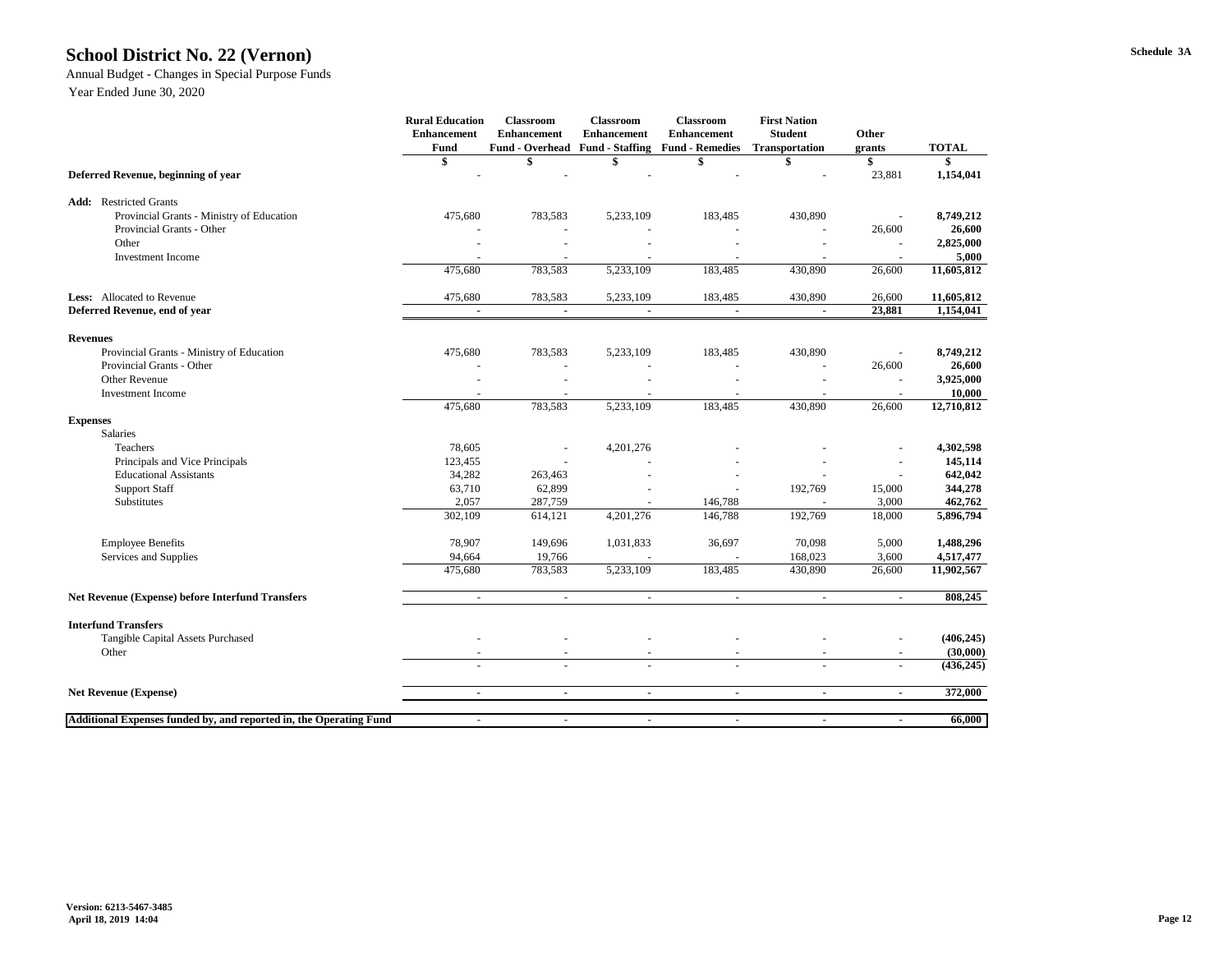### **Schedule 3A School District No. 22 (Vernon)**

### Annual Budget - Changes in Special Purpose Funds

|                                                                    | <b>Rural Education</b><br><b>Enhancement</b><br>Fund | <b>Classroom</b><br><b>Enhancement</b><br><b>Fund - Overhead</b> | <b>Classroom</b><br><b>Enhancement</b><br><b>Fund - Staffing</b> | <b>Classroom</b><br><b>Enhancement</b><br><b>Fund - Remedies</b> | <b>First Nation</b><br><b>Student</b><br>Transportation | Other<br>grants | <b>TOTAL</b> |
|--------------------------------------------------------------------|------------------------------------------------------|------------------------------------------------------------------|------------------------------------------------------------------|------------------------------------------------------------------|---------------------------------------------------------|-----------------|--------------|
|                                                                    |                                                      |                                                                  |                                                                  |                                                                  |                                                         | S               |              |
| Deferred Revenue, beginning of year                                |                                                      |                                                                  |                                                                  |                                                                  |                                                         | 23,881          | 1,154,041    |
| <b>Restricted Grants</b><br>Add:                                   |                                                      |                                                                  |                                                                  |                                                                  |                                                         |                 |              |
| Provincial Grants - Ministry of Education                          | 475,680                                              | 783,583                                                          | 5,233,109                                                        | 183,485                                                          | 430,890                                                 |                 | 8,749,212    |
| Provincial Grants - Other                                          |                                                      |                                                                  |                                                                  |                                                                  |                                                         | 26,600          | 26,600       |
| Other                                                              |                                                      |                                                                  |                                                                  |                                                                  |                                                         |                 | 2,825,000    |
| <b>Investment Income</b>                                           |                                                      |                                                                  |                                                                  |                                                                  |                                                         |                 | 5,000        |
|                                                                    | 475,680                                              | 783,583                                                          | 5,233,109                                                        | 183,485                                                          | 430,890                                                 | 26,600          | 11,605,812   |
| <b>Less:</b> Allocated to Revenue                                  | 475,680                                              | 783,583                                                          | 5,233,109                                                        | 183,485                                                          | 430,890                                                 | 26,600          | 11,605,812   |
| Deferred Revenue, end of year                                      | $\blacksquare$                                       | $\blacksquare$                                                   | $\sim$                                                           | $\blacksquare$                                                   | $\blacksquare$                                          | 23,881          | 1,154,041    |
| <b>Revenues</b>                                                    |                                                      |                                                                  |                                                                  |                                                                  |                                                         |                 |              |
| Provincial Grants - Ministry of Education                          | 475,680                                              | 783,583                                                          | 5,233,109                                                        | 183,485                                                          | 430,890                                                 |                 | 8,749,212    |
| Provincial Grants - Other                                          |                                                      |                                                                  |                                                                  |                                                                  |                                                         | 26,600          | 26,600       |
| <b>Other Revenue</b>                                               |                                                      |                                                                  |                                                                  |                                                                  |                                                         |                 | 3,925,000    |
| <b>Investment Income</b>                                           |                                                      |                                                                  |                                                                  |                                                                  |                                                         |                 | 10,000       |
|                                                                    | 475,680                                              | 783,583                                                          | 5,233,109                                                        | 183,485                                                          | 430,890                                                 | 26,600          | 12,710,812   |
| <b>Expenses</b>                                                    |                                                      |                                                                  |                                                                  |                                                                  |                                                         |                 |              |
| Salaries                                                           |                                                      |                                                                  |                                                                  |                                                                  |                                                         |                 |              |
| Teachers                                                           | 78,605                                               |                                                                  | 4,201,276                                                        |                                                                  |                                                         |                 | 4,302,598    |
| Principals and Vice Principals                                     | 123,455                                              |                                                                  |                                                                  |                                                                  |                                                         |                 | 145,114      |
| <b>Educational Assistants</b>                                      | 34,282                                               | 263,463                                                          |                                                                  |                                                                  |                                                         |                 | 642,042      |
| <b>Support Staff</b>                                               | 63,710                                               | 62,899                                                           |                                                                  |                                                                  | 192,769                                                 | 15,000          | 344,278      |
| Substitutes                                                        | 2,057                                                | 287,759                                                          |                                                                  | 146,788                                                          |                                                         | 3,000           | 462,762      |
|                                                                    | 302,109                                              | 614,121                                                          | 4,201,276                                                        | 146,788                                                          | 192,769                                                 | 18,000          | 5,896,794    |
| <b>Employee Benefits</b>                                           | 78,907                                               | 149,696                                                          | 1,031,833                                                        | 36,697                                                           | 70,098                                                  | 5,000           | 1,488,296    |
| Services and Supplies                                              | 94,664                                               | 19,766                                                           |                                                                  |                                                                  | 168,023                                                 | 3,600           | 4,517,477    |
|                                                                    | 475,680                                              | 783,583                                                          | 5,233,109                                                        | 183,485                                                          | 430,890                                                 | 26,600          | 11,902,567   |
| <b>Net Revenue (Expense) before Interfund Transfers</b>            | $\sim$                                               | $\sim$                                                           | $\sim$                                                           | $\sim$                                                           | $\sim$                                                  | $\sim$          | 808,245      |
|                                                                    |                                                      |                                                                  |                                                                  |                                                                  |                                                         |                 |              |
| <b>Interfund Transfers</b><br>Tangible Capital Assets Purchased    |                                                      |                                                                  |                                                                  |                                                                  |                                                         |                 | (406, 245)   |
| Other                                                              | $\qquad \qquad -$                                    |                                                                  |                                                                  |                                                                  |                                                         |                 | (30,000)     |
|                                                                    | $\blacksquare$                                       | $\overline{\phantom{a}}$                                         | $\equiv$                                                         | $\blacksquare$                                                   |                                                         |                 | (436, 245)   |
| <b>Net Revenue (Expense)</b>                                       | $\blacksquare$                                       | $\blacksquare$                                                   | $\sim$                                                           | $\blacksquare$                                                   | $\blacksquare$                                          | $\blacksquare$  | 372,000      |
|                                                                    |                                                      |                                                                  |                                                                  |                                                                  |                                                         |                 |              |
| Additional Expenses funded by, and reported in, the Operating Fund |                                                      |                                                                  |                                                                  |                                                                  |                                                         |                 | 66,000       |